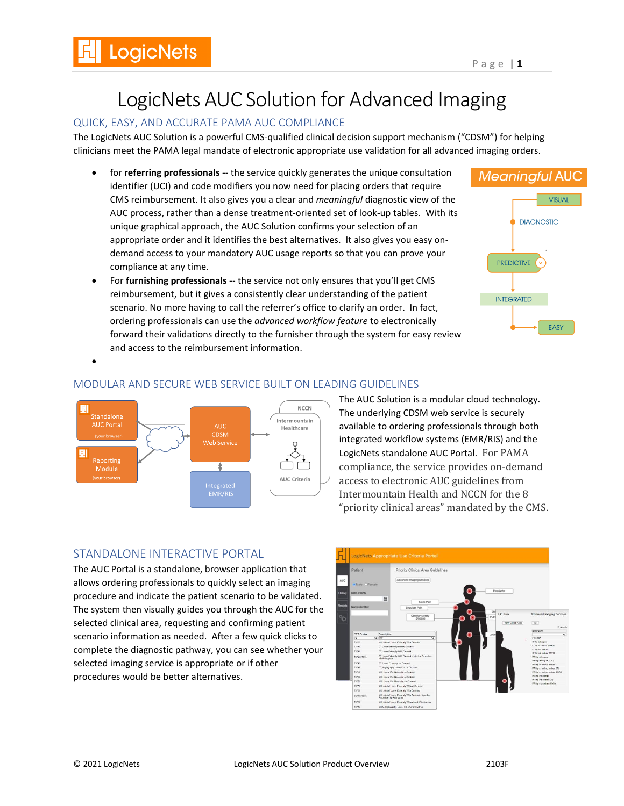# LogicNets AUC Solution for Advanced Imaging

### QUICK, EASY, AND ACCURATE PAMA AUC COMPLIANCE

The LogicNets AUC Solution is a powerful CMS-qualified clinical decision support mechanism ("CDSM") for helping clinicians meet the PAMA legal mandate of electronic appropriate use validation for all advanced imaging orders.

- for **referring professionals** -- the service quickly generates the unique consultation identifier (UCI) and code modifiers you now need for placing orders that require CMS reimbursement. It also gives you a clear and *meaningful* diagnostic view of the AUC process, rather than a dense treatment-oriented set of look-up tables. With its unique graphical approach, the AUC Solution confirms your selection of an appropriate order and it identifies the best alternatives. It also gives you easy ondemand access to your mandatory AUC usage reports so that you can prove your compliance at any time.
- For **furnishing professionals** -- the service not only ensures that you'll get CMS reimbursement, but it gives a consistently clear understanding of the patient scenario. No more having to call the referrer's office to clarify an order. In fact, ordering professionals can use the *advanced workflow feature* to electronically forward their validations directly to the furnisher through the system for easy review and access to the reimbursement information.





#### MODULAR AND SECURE WEB SERVICE BUILT ON LEADING GUIDELINES

The AUC Solution is a modular cloud technology. The underlying CDSM web service is securely available to ordering professionals through both integrated workflow systems (EMR/RIS) and the LogicNets standalone AUC Portal. For PAMA compliance, the service provides on-demand access to electronic AUC guidelines from Intermountain Health and NCCN for the 8 "priority clinical areas" mandated by the CMS.

# STANDALONE INTERACTIVE PORTAL

The AUC Portal is a standalone, browser application that allows ordering professionals to quickly select an imaging procedure and indicate the patient scenario to be validated. The system then visually guides you through the AUC for the selected clinical area, requesting and confirming patient scenario information as needed. After a few quick clicks to complete the diagnostic pathway, you can see whether your selected imaging service is appropriate or if other procedures would be better alternatives.



•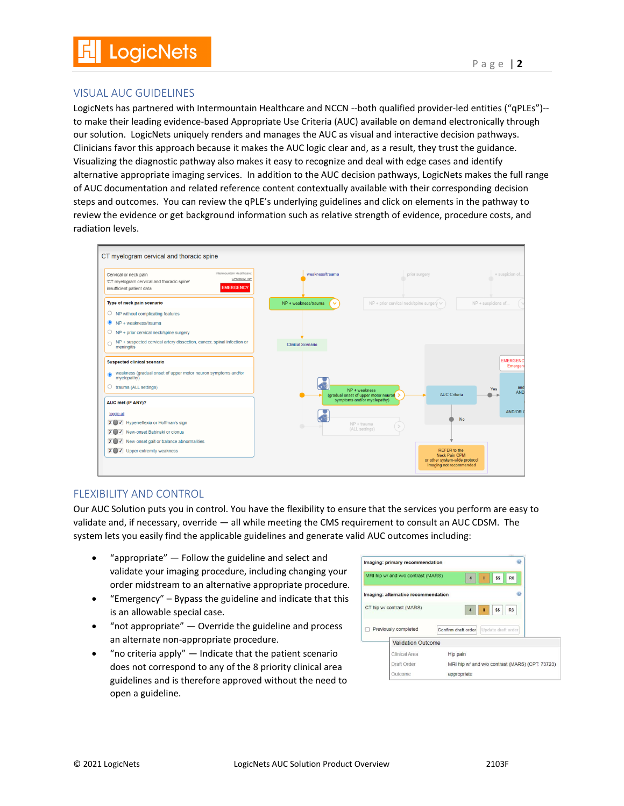# **LogicNets**

# VISUAL AUC GUIDELINES

LogicNets has partnered with Intermountain Healthcare and NCCN --both qualified provider-led entities ("qPLEs")- to make their leading evidence-based Appropriate Use Criteria (AUC) available on demand electronically through our solution. LogicNets uniquely renders and manages the AUC as visual and interactive decision pathways. Clinicians favor this approach because it makes the AUC logic clear and, as a result, they trust the guidance. Visualizing the diagnostic pathway also makes it easy to recognize and deal with edge cases and identify alternative appropriate imaging services. In addition to the AUC decision pathways, LogicNets makes the full range of AUC documentation and related reference content contextually available with their corresponding decision steps and outcomes. You can review the qPLE's underlying guidelines and click on elements in the pathway to review the evidence or get background information such as relative strength of evidence, procedure costs, and radiation levels.



# FLEXIBILITY AND CONTROL

Our AUC Solution puts you in control. You have the flexibility to ensure that the services you perform are easy to validate and, if necessary, override — all while meeting the CMS requirement to consult an AUC CDSM. The system lets you easily find the applicable guidelines and generate valid AUC outcomes including:

- "appropriate" Follow the guideline and select and validate your imaging procedure, including changing your order midstream to an alternative appropriate procedure.
- "Emergency" Bypass the guideline and indicate that this is an allowable special case.
- "not appropriate"  $-$  Override the guideline and process an alternate non-appropriate procedure.
- "no criteria apply"  $-$  Indicate that the patient scenario does not correspond to any of the 8 priority clinical area guidelines and is therefore approved without the need to open a guideline.

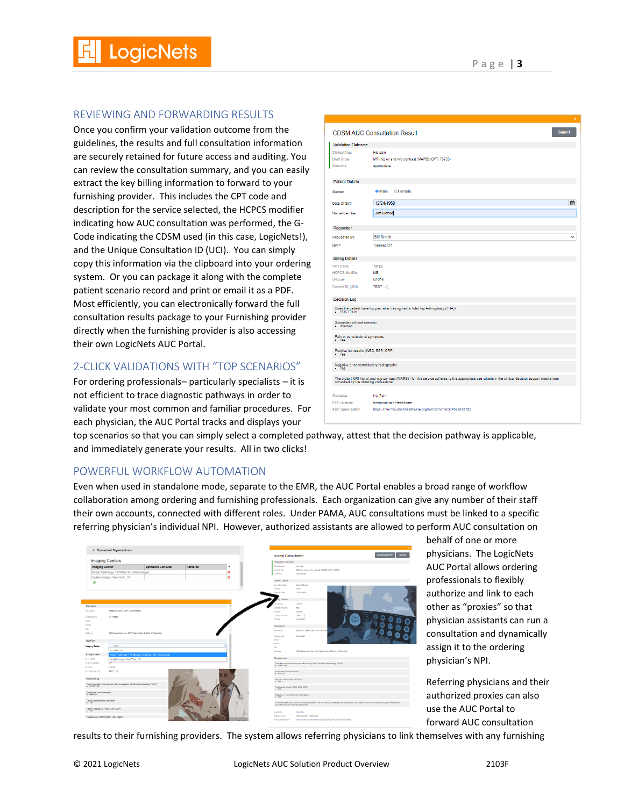#### REVIEWING AND FORWARDING RESULTS

Once you confirm your validation outcome from the guidelines, the results and full consultation information are securely retained for future access and auditing. You can review the consultation summary, and you can easily extract the key billing information to forward to your furnishing provider. This includes the CPT code and description for the service selected, the HCPCS modifier indicating how AUC consultation was performed, the G-Code indicating the CDSM used (in this case, LogicNets!), and the Unique Consultation ID (UCI). You can simply copy this information via the clipboard into your ordering system. Or you can package it along with the complete patient scenario record and print or email it as a PDF. Most efficiently, you can electronically forward the full consultation results package to your Furnishing provider directly when the furnishing provider is also accessing their own LogicNets AUC Portal.

# 2-CLICK VALIDATIONS WITH "TOP SCENARIOS"

For ordering professionals– particularly specialists – it is not efficient to trace diagnostic pathways in order to validate your most common and familiar procedures. For each physician, the AUC Portal tracks and displays your

|                                               | <b>CDSM AUC Consultation Result</b>                                                                                                                  | Submit |  |  |  |  |
|-----------------------------------------------|------------------------------------------------------------------------------------------------------------------------------------------------------|--------|--|--|--|--|
| <b>Validation Outcome</b>                     |                                                                                                                                                      |        |  |  |  |  |
| <b>Clinical Area</b>                          | <b>Hip pain</b>                                                                                                                                      |        |  |  |  |  |
| <b>Draft Order</b>                            | MRI hip w/ and w/o contrast (MARS) (CPT: 73723)                                                                                                      |        |  |  |  |  |
| Outcome                                       | appropriate                                                                                                                                          |        |  |  |  |  |
| <b>Patient Details</b>                        |                                                                                                                                                      |        |  |  |  |  |
| Gender                                        | <b>Male</b><br>O Female                                                                                                                              |        |  |  |  |  |
| Date Of Birth                                 | 12/24/1959                                                                                                                                           |        |  |  |  |  |
| Name/Identifier                               | <b>Jim Bowie</b>                                                                                                                                     |        |  |  |  |  |
| Requester                                     |                                                                                                                                                      |        |  |  |  |  |
| <b>Requested By</b>                           | <b>Bill Smith</b>                                                                                                                                    | v      |  |  |  |  |
| NPI*                                          | 1366653321                                                                                                                                           |        |  |  |  |  |
| <b>Billing Details</b>                        |                                                                                                                                                      |        |  |  |  |  |
| <b>CPT Code</b>                               | 73723                                                                                                                                                |        |  |  |  |  |
| <b>HCPCS Modifier</b>                         | ME                                                                                                                                                   |        |  |  |  |  |
| G-Code                                        | G1019                                                                                                                                                |        |  |  |  |  |
| Consult ID (UCI)                              | TEST (5)                                                                                                                                             |        |  |  |  |  |
| <b>Decision Log</b>                           |                                                                                                                                                      |        |  |  |  |  |
|                                               | Does the patient have hip pain after having had a Total Hip Arthroplasty (THA)? POST THA                                                             |        |  |  |  |  |
| Suspected clinical scenario<br>- infection    |                                                                                                                                                      |        |  |  |  |  |
| Pain or constitutional symptoms<br>Yes<br>٠   |                                                                                                                                                      |        |  |  |  |  |
| Positive lab results (WBC, ESR, CRP)<br>. Yes |                                                                                                                                                      |        |  |  |  |  |
| Negative or noncontributory radiographs       |                                                                                                                                                      |        |  |  |  |  |
| consulted by the ordering professional        | The order ('MRI hip w/ and w/o contrast (MARS)') for this service adheres to the appropriate use criteria in the clinical decision support mechanism |        |  |  |  |  |
| Guideline                                     | <b>Hip Pain</b>                                                                                                                                      |        |  |  |  |  |
| <b>PLE</b> Licensor                           | Intermountain Healthcare                                                                                                                             |        |  |  |  |  |
| <b>AUC Specification</b>                      | https://intermountainhealthcare.org/ext/Dcmnt?ncid=529526162                                                                                         |        |  |  |  |  |
|                                               |                                                                                                                                                      |        |  |  |  |  |

top scenarios so that you can simply select a completed pathway, attest that the decision pathway is applicable, and immediately generate your results. All in two clicks!

#### POWERFUL WORKFLOW AUTOMATION

Even when used in standalone mode, separate to the EMR, the AUC Portal enables a broad range of workflow collaboration among ordering and furnishing professionals. Each organization can give any number of their staff their own accounts, connected with different roles. Under PAMA, AUC consultations must be linked to a specific referring physician's individual NPI. However, authorized assistants are allowed to perform AUC consultation on

|                             |                                                                                 |                                                          |                |     | <b>Accept Consultation</b>                      |                                                                                                                                                                                              | Download (PDF) |
|-----------------------------|---------------------------------------------------------------------------------|----------------------------------------------------------|----------------|-----|-------------------------------------------------|----------------------------------------------------------------------------------------------------------------------------------------------------------------------------------------------|----------------|
|                             | <b>Imaging Centers</b>                                                          |                                                          |                |     | Validation Outcome                              |                                                                                                                                                                                              |                |
| <b>Imaging Center</b>       |                                                                                 | <b>Sponsors Consults</b>                                 | <b>Remarks</b> |     | Clinical Area                                   | <b>Hip pain</b>                                                                                                                                                                              |                |
|                             | Ready Radiology, 123 Main St, Bethesda yes                                      |                                                          |                |     | <b>Draft Onder</b>                              | MRI hip w/ and wio contrast (MARS) (CPT: 73723)                                                                                                                                              |                |
|                             |                                                                                 |                                                          |                |     | Outcome                                         | appropriate                                                                                                                                                                                  |                |
|                             | Quality Images, New York, NY                                                    |                                                          |                |     | <b>Patient Details</b>                          |                                                                                                                                                                                              |                |
| ۰                           |                                                                                 |                                                          |                |     | Nome Identifier                                 | Daniel Boone                                                                                                                                                                                 |                |
|                             |                                                                                 |                                                          |                |     | Gender                                          | mele                                                                                                                                                                                         |                |
|                             |                                                                                 |                                                          |                |     | Date Of Birth                                   | 12/24/1555                                                                                                                                                                                   |                |
|                             |                                                                                 |                                                          |                |     |                                                 |                                                                                                                                                                                              |                |
|                             |                                                                                 |                                                          |                |     | Details                                         |                                                                                                                                                                                              |                |
|                             |                                                                                 |                                                          |                |     |                                                 | 73723                                                                                                                                                                                        |                |
| Requester                   |                                                                                 |                                                          |                |     | <b>CPCS Modifer</b>                             | ME                                                                                                                                                                                           |                |
| Regulated                   | Bergenin Spock (NPI: 1275547755)                                                |                                                          |                |     | G-Code                                          | G1019                                                                                                                                                                                        |                |
| Organization                | LN Health                                                                       |                                                          |                |     | Consult ID (UCI)                                | TEST OF                                                                                                                                                                                      |                |
|                             |                                                                                 |                                                          |                |     | Paid By                                         | <b>LN Hosth</b>                                                                                                                                                                              |                |
|                             |                                                                                 |                                                          |                |     |                                                 |                                                                                                                                                                                              |                |
|                             |                                                                                 |                                                          |                |     | Requeste                                        |                                                                                                                                                                                              |                |
|                             | 5335 Wisconsin Ave. NW, Washington Crainct of Columbia                          |                                                          |                |     | <b>Requester</b>                                | Bersamin Spock (NPL 1275347785)                                                                                                                                                              |                |
|                             |                                                                                 |                                                          |                |     | Organization                                    | <b>LN Health</b>                                                                                                                                                                             |                |
| <b>Wilder Adheses</b>       |                                                                                 |                                                          |                |     | Emal                                            |                                                                                                                                                                                              |                |
|                             |                                                                                 |                                                          |                |     | Phone                                           |                                                                                                                                                                                              |                |
| Imaging Center              | $-$ salact $-$                                                                  |                                                          |                |     | Rac                                             |                                                                                                                                                                                              |                |
|                             | $-$ select $-$                                                                  |                                                          |                |     | Address                                         | 5335 Waconsin Ave. NW: Washington: District of Columbia                                                                                                                                      |                |
| <b>Biling Details</b>       |                                                                                 | Ready Radiology, 123 Main St, Bethesda, MD, Esponsored). |                |     |                                                 |                                                                                                                                                                                              |                |
|                             | Quality Images, New York, NY                                                    |                                                          |                |     | <b>Decision Log</b>                             |                                                                                                                                                                                              |                |
| <b>HCPCS Modifer</b>        | <b>WE</b>                                                                       |                                                          |                |     |                                                 | Does the patient have hip pain after having had a Total Hip Arthropiasty (THA)?                                                                                                              |                |
|                             | G1019                                                                           |                                                          |                |     |                                                 |                                                                                                                                                                                              |                |
| Conseil ID (UCD)            | TEST OF                                                                         |                                                          |                |     | Suspected clinical scorerio<br>· infaction      |                                                                                                                                                                                              |                |
|                             |                                                                                 |                                                          |                |     |                                                 |                                                                                                                                                                                              |                |
| Decision Log                |                                                                                 |                                                          |                |     | Pain or constitutional symptoms<br>$-$ Yes      |                                                                                                                                                                                              |                |
|                             | Does the patient have hip pain after having had a Total Hip Arthropianly (THA)? |                                                          |                |     |                                                 |                                                                                                                                                                                              |                |
|                             |                                                                                 |                                                          |                |     | Positive lab results (WBC, ESR, CRP)<br>$-$ You |                                                                                                                                                                                              |                |
| Suspected cirrical scenario |                                                                                 |                                                          |                |     |                                                 |                                                                                                                                                                                              |                |
|                             |                                                                                 |                                                          |                |     |                                                 | Negative or noncontributory rediographs                                                                                                                                                      |                |
|                             | Pain or constitutional symptoms<br>= Yes                                        |                                                          |                |     |                                                 |                                                                                                                                                                                              |                |
|                             |                                                                                 |                                                          |                |     |                                                 | The order (MRI hip wi and wis contrast (MRIE)) for this service achares to the appropriate use oritoria in the circical decision support mechanism<br>consulted by the ordering enclosaional |                |
|                             | Positive lab results (NBC, ESR, CRP)                                            |                                                          |                | . . |                                                 |                                                                                                                                                                                              |                |
|                             |                                                                                 |                                                          |                |     |                                                 |                                                                                                                                                                                              |                |
|                             |                                                                                 |                                                          |                |     | Guideline<br><b>PUE Ucenson</b>                 | <b>Ho Pain</b><br><b>Intermountain MealThcare</b>                                                                                                                                            |                |

behalf of one or more physicians. The LogicNets AUC Portal allows ordering professionals to flexibly authorize and link to each other as "proxies" so that physician assistants can run a consultation and dynamically assign it to the ordering physician's NPI.

Referring physicians and their authorized proxies can also use the AUC Portal to forward AUC consultation

results to their furnishing providers. The system allows referring physicians to link themselves with any furnishing